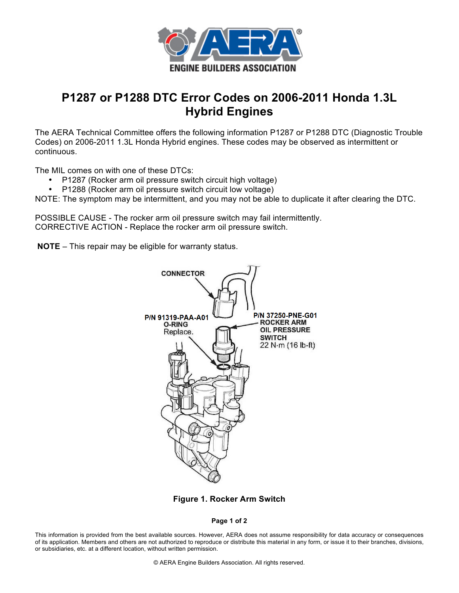

## **P1287 or P1288 DTC Error Codes on 2006-2011 Honda 1.3L Hybrid Engines**

The AERA Technical Committee offers the following information P1287 or P1288 DTC (Diagnostic Trouble Codes) on 2006-2011 1.3L Honda Hybrid engines. These codes may be observed as intermittent or continuous.

The MIL comes on with one of these DTCs:

- P1287 (Rocker arm oil pressure switch circuit high voltage)
- P1288 (Rocker arm oil pressure switch circuit low voltage)

NOTE: The symptom may be intermittent, and you may not be able to duplicate it after clearing the DTC.

POSSIBLE CAUSE - The rocker arm oil pressure switch may fail intermittently. CORRECTIVE ACTION - Replace the rocker arm oil pressure switch.

**NOTE** – This repair may be eligible for warranty status.



**Figure 1. Rocker Arm Switch**

**Page 1 of 2**

This information is provided from the best available sources. However, AERA does not assume responsibility for data accuracy or consequences of its application. Members and others are not authorized to reproduce or distribute this material in any form, or issue it to their branches, divisions, or subsidiaries, etc. at a different location, without written permission.